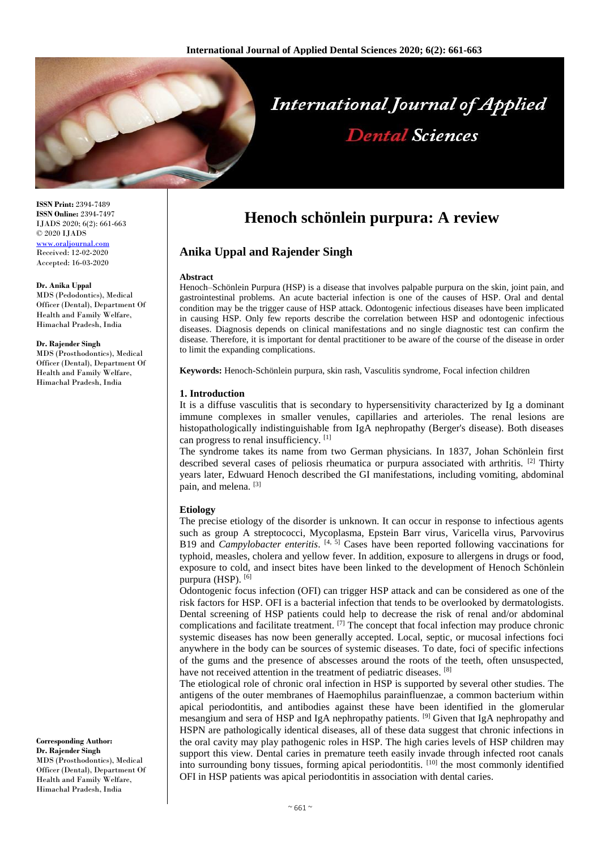

**ISSN Print:** 2394-7489 **ISSN Online:** 2394-7497 IJADS 2020; 6(2): 661-663 © 2020 IJADS [www.oraljournal.com](http://www.oraljournal.com/) Received: 12-02-2020 Accepted: 16-03-2020

#### **Dr. Anika Uppal**

MDS (Pedodontics), Medical Officer (Dental), Department Of Health and Family Welfare, Himachal Pradesh, India

#### **Dr. Rajender Singh**

MDS (Prosthodontics), Medical Officer (Dental), Department Of Health and Family Welfare, Himachal Pradesh, India

#### **Corresponding Author: Dr. Rajender Singh** MDS (Prosthodontics), Medical

Officer (Dental), Department Of Health and Family Welfare, Himachal Pradesh, India

# **Henoch schönlein purpura: A review**

# **Anika Uppal and Rajender Singh**

#### **Abstract**

Henoch–Schönlein Purpura (HSP) is a disease that involves palpable purpura on the skin, joint pain, and gastrointestinal problems. An acute bacterial infection is one of the causes of HSP. Oral and dental condition may be the trigger cause of HSP attack. Odontogenic infectious diseases have been implicated in causing HSP. Only few reports describe the correlation between HSP and odontogenic infectious diseases. Diagnosis depends on clinical manifestations and no single diagnostic test can confirm the disease. Therefore, it is important for dental practitioner to be aware of the course of the disease in order to limit the expanding complications.

**Keywords:** Henoch-Schönlein purpura, skin rash, Vasculitis syndrome, Focal infection children

# **1. Introduction**

It is a diffuse vasculitis that is secondary to hypersensitivity characterized by Ig a dominant immune complexes in smaller venules, capillaries and arterioles. The renal lesions are histopathologically indistinguishable from IgA nephropathy (Berger's disease). Both diseases can progress to renal insufficiency. [1]

The syndrome takes its name from two German physicians. In 1837, Johan Schönlein first described several cases of peliosis rheumatica or purpura associated with arthritis. <sup>[2]</sup> Thirty years later, Edwuard Henoch described the GI manifestations, including vomiting, abdominal pain, and melena. [3]

### **Etiology**

The precise etiology of the disorder is unknown. It can occur in response to infectious agents such as group A streptococci, Mycoplasma, Epstein Barr virus, Varicella virus, Parvovirus B19 and *Campylobacter enteritis*. [4, 5] Cases have been reported following vaccinations for typhoid, measles, cholera and yellow fever. In addition, exposure to allergens in drugs or food, exposure to cold, and insect bites have been linked to the development of Henoch Schönlein purpura (HSP).<sup>[6]</sup>

Odontogenic focus infection (OFI) can trigger HSP attack and can be considered as one of the risk factors for HSP. OFI is a bacterial infection that tends to be overlooked by dermatologists. Dental screening of HSP patients could help to decrease the risk of renal and/or abdominal complications and facilitate treatment. [7] The concept that focal infection may produce chronic systemic diseases has now been generally accepted. Local, septic, or mucosal infections foci anywhere in the body can be sources of systemic diseases. To date, foci of specific infections of the gums and the presence of abscesses around the roots of the teeth, often unsuspected, have not received attention in the treatment of pediatric diseases. [8]

The etiological role of chronic oral infection in HSP is supported by several other studies. The antigens of the outer membranes of Haemophilus parainfluenzae, a common bacterium within apical periodontitis, and antibodies against these have been identified in the glomerular mesangium and sera of HSP and IgA nephropathy patients. [9] Given that IgA nephropathy and HSPN are pathologically identical diseases, all of these data suggest that chronic infections in the oral cavity may play pathogenic roles in HSP. The high caries levels of HSP children may support this view. Dental caries in premature teeth easily invade through infected root canals into surrounding bony tissues, forming apical periodontitis. [10] the most commonly identified OFI in HSP patients was apical periodontitis in association with dental caries.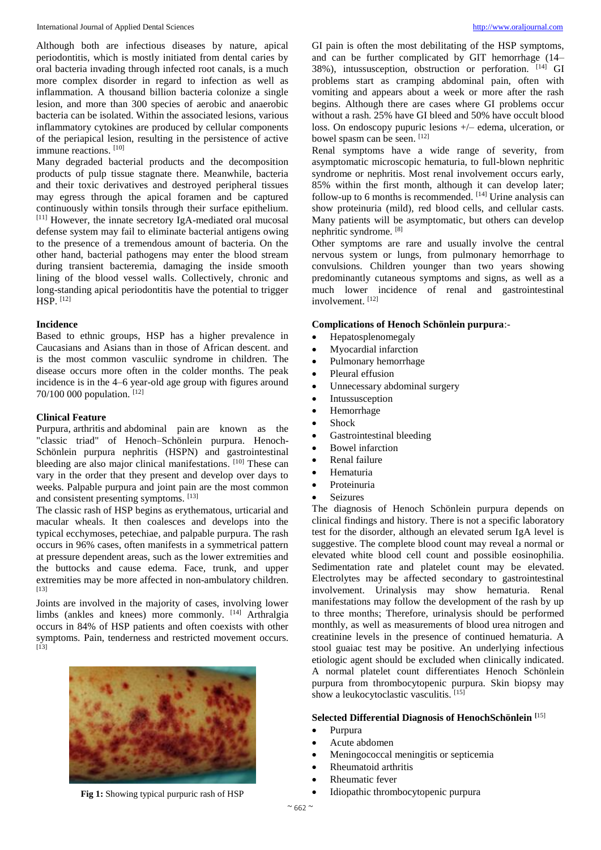Although both are infectious diseases by nature, apical periodontitis, which is mostly initiated from dental caries by oral bacteria invading through infected root canals, is a much more complex disorder in regard to infection as well as inflammation. A thousand billion bacteria colonize a single lesion, and more than 300 species of aerobic and anaerobic bacteria can be isolated. Within the associated lesions, various inflammatory cytokines are produced by cellular components of the periapical lesion, resulting in the persistence of active immune reactions. [10]

Many degraded bacterial products and the decomposition products of pulp tissue stagnate there. Meanwhile, bacteria and their toxic derivatives and destroyed peripheral tissues may egress through the apical foramen and be captured continuously within tonsils through their surface epithelium. [11] However, the innate secretory IgA-mediated oral mucosal defense system may fail to eliminate bacterial antigens owing to the presence of a tremendous amount of bacteria. On the other hand, bacterial pathogens may enter the blood stream during transient bacteremia, damaging the inside smooth lining of the blood vessel walls. Collectively, chronic and long-standing apical periodontitis have the potential to trigger HSP. [12]

#### **Incidence**

Based to ethnic groups, HSP has a higher prevalence in Caucasians and Asians than in those of African descent. and is the most common vasculiic syndrome in children. The disease occurs more often in the colder months. The peak incidence is in the 4–6 year-old age group with figures around 70/100 000 population. [12]

### **Clinical Feature**

Purpura, arthritis and abdominal pain are known as the "classic triad" of Henoch–Schönlein purpura. Henoch-Schönlein purpura nephritis (HSPN) and gastrointestinal bleeding are also major clinical manifestations. [10] These can vary in the order that they present and develop over days to weeks. Palpable purpura and joint pain are the most common and consistent presenting symptoms. [13]

The classic rash of HSP begins as erythematous, urticarial and macular wheals. It then coalesces and develops into the typical ecchymoses, petechiae, and palpable purpura. The rash occurs in 96% cases, often manifests in a symmetrical pattern at pressure dependent areas, such as the lower extremities and the buttocks and cause edema. Face, trunk, and upper extremities may be more affected in non-ambulatory children.  $[13]$ 

Joints are involved in the majority of cases, involving lower limbs (ankles and knees) more commonly. <sup>[14]</sup> Arthralgia occurs in 84% of HSP patients and often coexists with other symptoms. Pain, tenderness and restricted movement occurs.  $[13]$ 



GI pain is often the most debilitating of the HSP symptoms, and can be further complicated by GIT hemorrhage (14– 38%), intussusception, obstruction or perforation. [14] GI problems start as cramping abdominal pain, often with vomiting and appears about a week or more after the rash begins. Although there are cases where GI problems occur without a rash. 25% have GI bleed and 50% have occult blood loss. On endoscopy pupuric lesions +/– edema, ulceration, or bowel spasm can be seen. [12]

Renal symptoms have a wide range of severity, from asymptomatic microscopic hematuria, to full-blown nephritic syndrome or nephritis. Most renal involvement occurs early, 85% within the first month, although it can develop later; follow-up to 6 months is recommended.  $[14]$  Urine analysis can show proteinuria (mild), red blood cells, and cellular casts. Many patients will be asymptomatic, but others can develop nephritic syndrome. [8]

Other symptoms are rare and usually involve the central nervous system or lungs, from pulmonary hemorrhage to convulsions. Children younger than two years showing predominantly cutaneous symptoms and signs, as well as a much lower incidence of renal and gastrointestinal involvement. [12]

# **Complications of Henoch Schönlein purpura**:-

- Hepatosplenomegaly
- Myocardial infarction
- Pulmonary hemorrhage
- Pleural effusion
- Unnecessary abdominal surgery
- Intussusception
- Hemorrhage
- Shock
- Gastrointestinal bleeding
- Bowel infarction
- Renal failure
- Hematuria
- Proteinuria
- Seizures

The diagnosis of Henoch Schönlein purpura depends on clinical findings and history. There is not a specific laboratory test for the disorder, although an elevated serum IgA level is suggestive. The complete blood count may reveal a normal or elevated white blood cell count and possible eosinophilia. Sedimentation rate and platelet count may be elevated. Electrolytes may be affected secondary to gastrointestinal involvement. Urinalysis may show hematuria. Renal manifestations may follow the development of the rash by up to three months; Therefore, urinalysis should be performed monthly, as well as measurements of blood urea nitrogen and creatinine levels in the presence of continued hematuria. A stool guaiac test may be positive. An underlying infectious etiologic agent should be excluded when clinically indicated. A normal platelet count differentiates Henoch Schönlein purpura from thrombocytopenic purpura. Skin biopsy may show a leukocytoclastic vasculitis. [15]

# **Selected Differential Diagnosis of HenochSchönlein [**15]

- Purpura
- Acute abdomen
- Meningococcal meningitis or septicemia
- Rheumatoid arthritis
- Rheumatic fever
- Idiopathic thrombocytopenic purpura